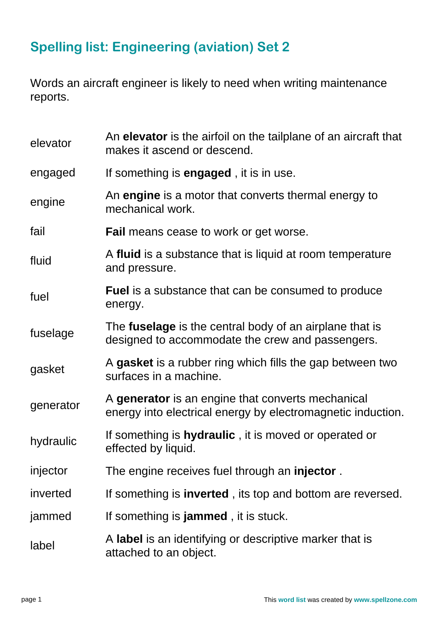## **Spelling list: Engineering (aviation) Set 2**

Words an aircraft engineer is likely to need when writing maintenance reports.

| elevator  | An elevator is the airfoil on the tailplane of an aircraft that<br>makes it ascend or descend.                     |
|-----------|--------------------------------------------------------------------------------------------------------------------|
| engaged   | If something is <b>engaged</b> , it is in use.                                                                     |
| engine    | An engine is a motor that converts thermal energy to<br>mechanical work.                                           |
| fail      | <b>Fail</b> means cease to work or get worse.                                                                      |
| fluid     | A fluid is a substance that is liquid at room temperature<br>and pressure.                                         |
| fuel      | <b>Fuel</b> is a substance that can be consumed to produce<br>energy.                                              |
| fuselage  | The <b>fuselage</b> is the central body of an airplane that is<br>designed to accommodate the crew and passengers. |
| gasket    | A gasket is a rubber ring which fills the gap between two<br>surfaces in a machine.                                |
| generator | A generator is an engine that converts mechanical<br>energy into electrical energy by electromagnetic induction.   |
| hydraulic | If something is <b>hydraulic</b> , it is moved or operated or<br>effected by liquid.                               |
| injector  | The engine receives fuel through an <b>injector</b> .                                                              |
| inverted  | If something is <b>inverted</b> , its top and bottom are reversed.                                                 |
| jammed    | If something is <b>jammed</b> , it is stuck.                                                                       |
| label     | A label is an identifying or descriptive marker that is<br>attached to an object.                                  |